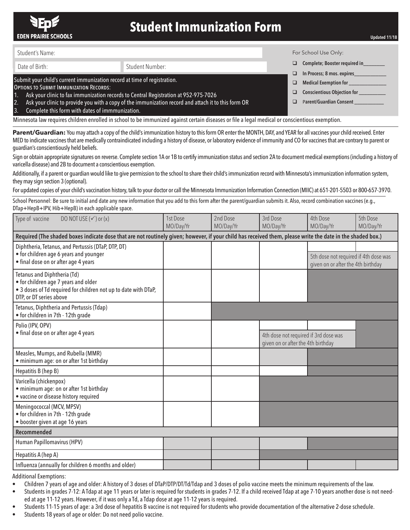

## **Student Immunization Form**

Student's Name:

## Date of Birth: Student Number:

## Submit your child's current immunization record at time of registration.

Options to Submit Immunization Records:

- 1. Ask your clinic to fax immunization records to Central Registration at 952-975-7026
- 2. Ask your clinic to provide you with a copy of the immunization record and attach it to this form OR
- 3. Complete this form with dates of immmunization.

Minnesota law requires children enrolled in school to be immunized against certain diseases or file a legal medical or conscientious exemption.

Parent/Guardian: You may attach a copy of the child's immunization history to this form OR enter the MONTH, DAY, and YEAR for all vaccines your child received. Enter MED to indicate vaccines that are medically contraindicated including a history of disease, or laboratory evidence of immunity and CO for vaccines that are contrary to parent or guardian's conscientiously held beliefs.

Sign or obtain appropriate signatures on reverse. Complete section 1A or 1B to certify immunization status and section 2A to document medical exemptions (including a history of varicella disease) and 2B to document a conscientious exemption.

Additionally, if a parent or quardian would like to give permission to the school to share their child's immunization record with Minnesota's immunization information system, they may sign section 3 (optional).

For updated copies of your child's vaccination history, talk to your doctor or call the Minnesota Immunization Information Connection (MIIC) at 651-201-5503 or 800-657-3970.

School Personnel: Be sure to initial and date any new information that you add to this form after the parent/guardian submits it. Also, record combination vaccines (e.g., DTap+HepB+IPV, Hib+HepB) in each applicable space.

| DO NOT USE $(\checkmark)$ or $(x)$<br>Type of vaccine                                                                                                             | 1st Dose<br>MO/Day/Yr | 2nd Dose<br>MO/Day/Yr | 3rd Dose<br>MO/Day/Yr                                                       | 4th Dose<br>MO/Day/Yr                                                       | 5th Dose<br>MO/Day/Yr |  |  |  |
|-------------------------------------------------------------------------------------------------------------------------------------------------------------------|-----------------------|-----------------------|-----------------------------------------------------------------------------|-----------------------------------------------------------------------------|-----------------------|--|--|--|
| Required (The shaded boxes indicate dose that are not routinely given; however, if your child has received them, please write the date in the shaded box.)        |                       |                       |                                                                             |                                                                             |                       |  |  |  |
| Diphtheria, Tetanus, and Pertussis (DTaP, DTP, DT)<br>• for children age 6 years and younger<br>• final dose on or after age 4 years                              |                       |                       |                                                                             | 5th dose not required if 4th dose was<br>given on or after the 4th birthday |                       |  |  |  |
| Tetanus and Diphtheria (Td)<br>• for children age 7 years and older<br>• 3 doses of Td required for children not up to date with DTaP,<br>DTP, or DT series above |                       |                       |                                                                             |                                                                             |                       |  |  |  |
| Tetanus, Diphtheria and Pertussis (Tdap)<br>• for children in 7th - 12th grade                                                                                    |                       |                       |                                                                             |                                                                             |                       |  |  |  |
| Polio (IPV, OPV)<br>· final dose on or after age 4 years                                                                                                          |                       |                       | 4th dose not required if 3rd dose was<br>given on or after the 4th birthday |                                                                             |                       |  |  |  |
| Measles, Mumps, and Rubella (MMR)<br>· minimum age: on or after 1st birthday                                                                                      |                       |                       |                                                                             |                                                                             |                       |  |  |  |
| Hepatitis B (hep B)                                                                                                                                               |                       |                       |                                                                             |                                                                             |                       |  |  |  |
| Varicella (chickenpox)<br>· minimum age: on or after 1st birthday<br>• vaccine or disease history required                                                        |                       |                       |                                                                             |                                                                             |                       |  |  |  |
| Meningococcal (MCV, MPSV)<br>• for children in 7th - 12th grade<br>• booster given at age 16 years                                                                |                       |                       |                                                                             |                                                                             |                       |  |  |  |
| Recommended                                                                                                                                                       |                       |                       |                                                                             |                                                                             |                       |  |  |  |
| Human Papillomavirus (HPV)                                                                                                                                        |                       |                       |                                                                             |                                                                             |                       |  |  |  |
| Hepatitis A (hep A)                                                                                                                                               |                       |                       |                                                                             |                                                                             |                       |  |  |  |
| Influenza (annually for children 6 months and older)                                                                                                              |                       |                       |                                                                             |                                                                             |                       |  |  |  |

Additional Exemptions:

- Children 7 years of age and older: A history of 3 doses of DTaP/DTP/DT/Td/Tdap and 3 doses of polio vaccine meets the minimum requirements of the law.
- Students in grades 7-12: A Tdap at age 11 years or later is required for students in grades 7-12. If a child received Tdap at age 7-10 years another dose is not needed at age 11-12 years. However, if it was only a Td, a Tdap dose at age 11-12 years is required.
- Students 11-15 years of age: a 3rd dose of hepatitis B vaccine is not required for students who provide documentation of the alternative 2-dose schedule.
- Students 18 years of age or older: Do not need polio vaccine.

For School Use Only:

- □ Complete; Booster required in
- □ In Process; 8 mos. expires\_
	- Medical Exemption for
- □ Conscientious Objection for
- □ Parent/Guardian Consent